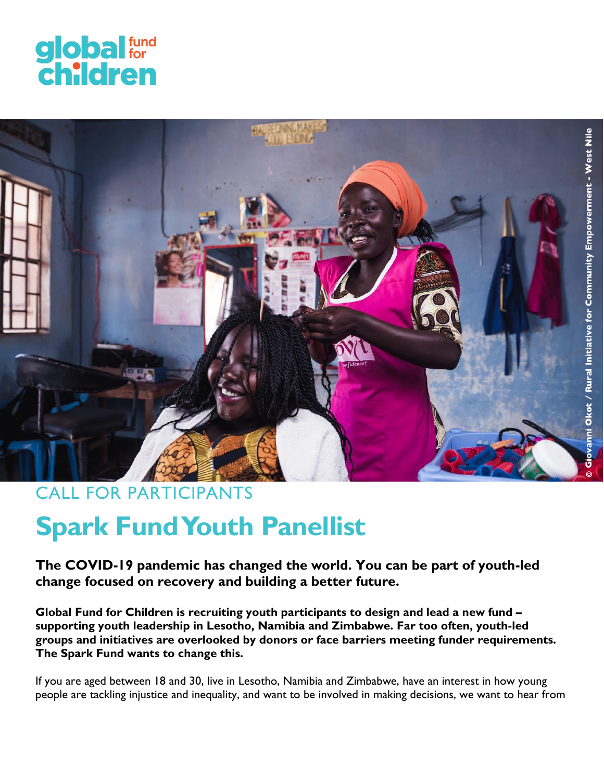



# CALL FOR PARTICIPANTS

# **Spark Fund Youth Panellist**

**The COVID-19 pandemic has changed the world. You can be part of youth-led change focused on recovery and building a better future.** 

**Global Fund for Children is recruiting youth participants to design and lead a new fund – supporting youth leadership in Lesotho, Namibia and Zimbabwe. Far too often, youth-led groups and initiatives are overlooked by donors or face barriers meeting funder requirements. The Spark Fund wants to change this.** 

If you are aged between 18 and 30, live in Lesotho, Namibia and Zimbabwe, have an interest in how young people are tackling injustice and inequality, and want to be involved in making decisions, we want to hear from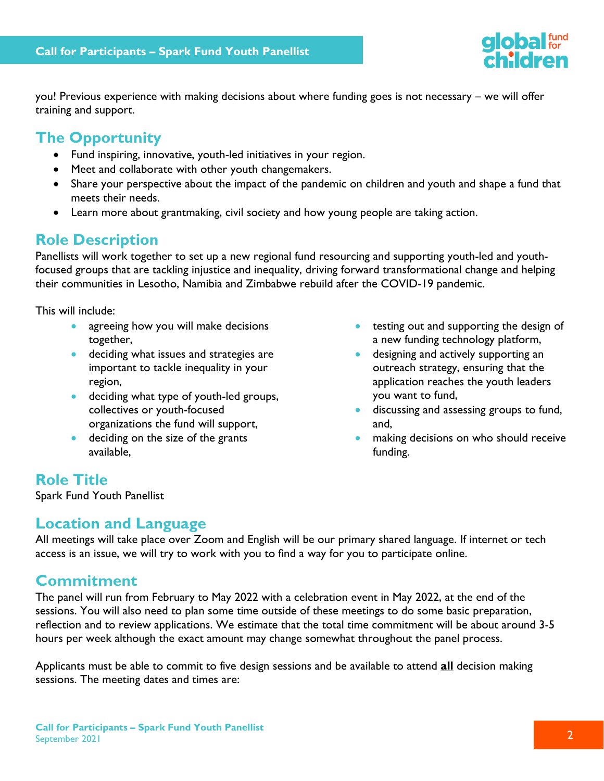

you! Previous experience with making decisions about where funding goes is not necessary – we will offer training and support.

# **The Opportunity**

- Fund inspiring, innovative, youth-led initiatives in your region.
- Meet and collaborate with other youth changemakers.
- Share your perspective about the impact of the pandemic on children and youth and shape a fund that meets their needs.
- Learn more about grantmaking, civil society and how young people are taking action.

# **Role Description**

Panellists will work together to set up a new regional fund resourcing and supporting youth-led and youthfocused groups that are tackling injustice and inequality, driving forward transformational change and helping their communities in Lesotho, Namibia and Zimbabwe rebuild after the COVID-19 pandemic.

This will include:

- agreeing how you will make decisions together,
- **deciding what issues and strategies are** important to tackle inequality in your region,
- deciding what type of youth-led groups, collectives or youth-focused organizations the fund will support,
- **•** deciding on the size of the grants available,
- testing out and supporting the design of a new funding technology platform,
- **•** designing and actively supporting an outreach strategy, ensuring that the application reaches the youth leaders you want to fund,
- **discussing and assessing groups to fund,** and,
- **•** making decisions on who should receive funding.

# **Role Title**

Spark Fund Youth Panellist

# **Location and Language**

All meetings will take place over Zoom and English will be our primary shared language. If internet or tech access is an issue, we will try to work with you to find a way for you to participate online.

# **Commitment**

The panel will run from February to May 2022 with a celebration event in May 2022, at the end of the sessions. You will also need to plan some time outside of these meetings to do some basic preparation, reflection and to review applications. We estimate that the total time commitment will be about around 3-5 hours per week although the exact amount may change somewhat throughout the panel process.

Applicants must be able to commit to five design sessions and be available to attend **all** decision making sessions. The meeting dates and times are: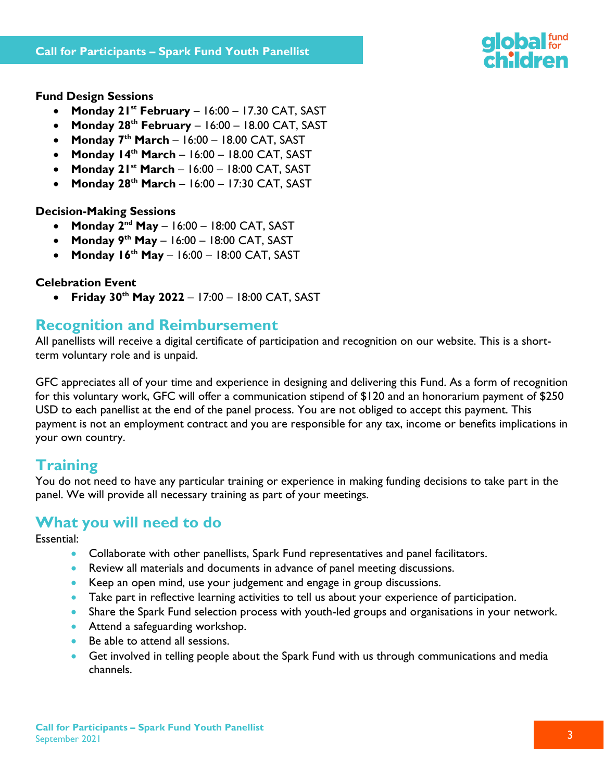

#### **Fund Design Sessions**

- **Monday 21 st February** 16:00 17.30 CAT, SAST
- **Monday 28th February** 16:00 18.00 CAT, SAST
- **Monday 7th March** 16:00 18.00 CAT, SAST
- **Monday 14th March** 16:00 18.00 CAT, SAST
- **Monday 21st March** 16:00 18:00 CAT, SAST
- **Monday 28th March** 16:00 17:30 CAT, SAST

#### **Decision-Making Sessions**

- **Monday 2<sup>nd</sup> May** 16:00 18:00 CAT, SAST
- **Monday 9 th May** 16:00 18:00 CAT, SAST
- **Monday 16th May** 16:00 18:00 CAT, SAST

#### **Celebration Event**

**Friday 30th May 2022** – 17:00 – 18:00 CAT, SAST

### **Recognition and Reimbursement**

All panellists will receive a digital certificate of participation and recognition on our website. This is a shortterm voluntary role and is unpaid.

GFC appreciates all of your time and experience in designing and delivering this Fund. As a form of recognition for this voluntary work, GFC will offer a communication stipend of \$120 and an honorarium payment of \$250 USD to each panellist at the end of the panel process. You are not obliged to accept this payment. This payment is not an employment contract and you are responsible for any tax, income or benefits implications in your own country.

# **Training**

You do not need to have any particular training or experience in making funding decisions to take part in the panel. We will provide all necessary training as part of your meetings.

# **What you will need to do**

Essential:

- Collaborate with other panellists, Spark Fund representatives and panel facilitators.
- Review all materials and documents in advance of panel meeting discussions.
- Keep an open mind, use your judgement and engage in group discussions.
- Take part in reflective learning activities to tell us about your experience of participation.
- Share the Spark Fund selection process with youth-led groups and organisations in your network.
- Attend a safeguarding workshop.
- Be able to attend all sessions.
- Get involved in telling people about the Spark Fund with us through communications and media channels.